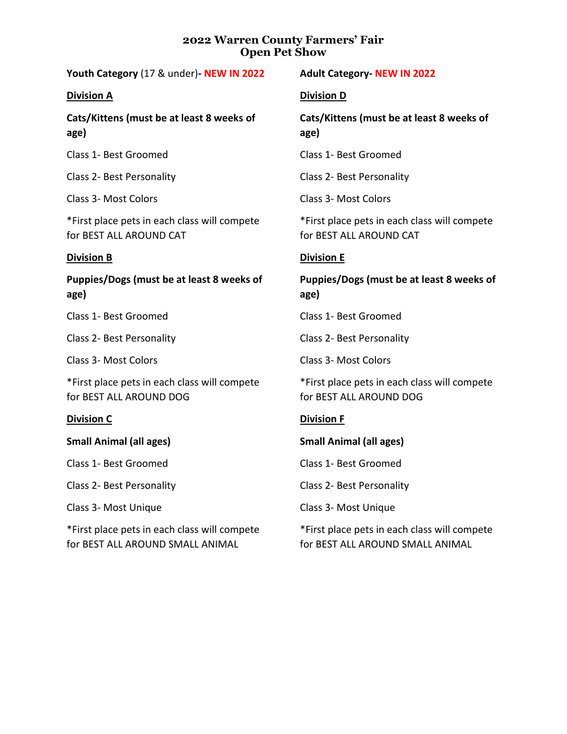# **2022 Warren County Farmers' Fair Open Pet Show**

**Youth Category** (17 & under)**- NEW IN 2022**

#### **Division A**

**Cats/Kittens (must be at least 8 weeks of age)**

Class 1- Best Groomed

Class 2- Best Personality

Class 3- Most Colors

\*First place pets in each class will compete for BEST ALL AROUND CAT

## **Division B**

**Puppies/Dogs (must be at least 8 weeks of age)**

Class 1- Best Groomed

Class 2- Best Personality

Class 3- Most Colors

\*First place pets in each class will compete for BEST ALL AROUND DOG

# **Division C**

**Small Animal (all ages)**

Class 1- Best Groomed

Class 2- Best Personality

Class 3- Most Unique

\*First place pets in each class will compete for BEST ALL AROUND SMALL ANIMAL

# **Adult Category- NEW IN 2022**

## **Division D**

**Cats/Kittens (must be at least 8 weeks of age)**

Class 1- Best Groomed

Class 2- Best Personality

Class 3- Most Colors

\*First place pets in each class will compete for BEST ALL AROUND CAT

## **Division E**

**Puppies/Dogs (must be at least 8 weeks of age)**

Class 1- Best Groomed

Class 2- Best Personality

Class 3- Most Colors

\*First place pets in each class will compete for BEST ALL AROUND DOG

# **Division F**

**Small Animal (all ages)**

Class 1- Best Groomed

Class 2- Best Personality

Class 3- Most Unique

\*First place pets in each class will compete for BEST ALL AROUND SMALL ANIMAL